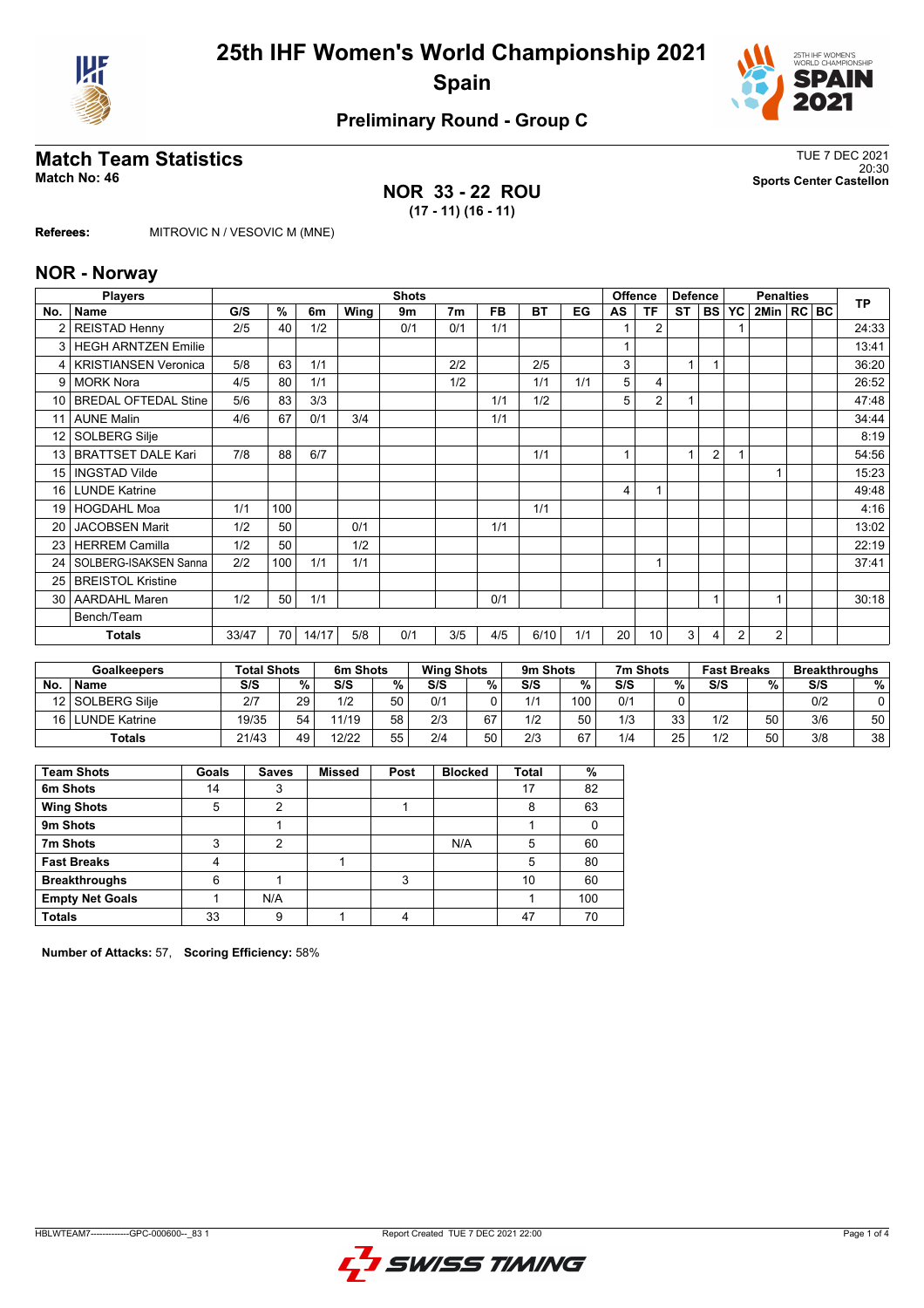



## **Preliminary Round - Group C**

## **Match Team Statistics** TUE 7 DEC 2021

#### **NOR 33 - 22 ROU (17 - 11) (16 - 11)**

20:30 **Match No: 46 Sports Center Castellon**

**Referees:** MITROVIC N / VESOVIC M (MNE)

#### **NOR - Norway**

|                 | <b>Players</b>              | <b>Shots</b> |     |       |      |     |                |           |           |     |    | <b>Offence</b> | <b>Defence</b> |                | <b>Penalties</b> |              |  |  | <b>TP</b> |
|-----------------|-----------------------------|--------------|-----|-------|------|-----|----------------|-----------|-----------|-----|----|----------------|----------------|----------------|------------------|--------------|--|--|-----------|
| No.             | Name                        | G/S          | %   | 6m    | Wing | 9m  | 7 <sub>m</sub> | <b>FB</b> | <b>BT</b> | EG  | AS | <b>TF</b>      | <b>ST</b>      | <b>BS</b>      | <b>YC</b>        | 2Min   RC BC |  |  |           |
| 2               | <b>REISTAD Henny</b>        | 2/5          | 40  | 1/2   |      | 0/1 | 0/1            | 1/1       |           |     |    | $\overline{2}$ |                |                |                  |              |  |  | 24:33     |
| 3               | <b>HEGH ARNTZEN Emilie</b>  |              |     |       |      |     |                |           |           |     |    |                |                |                |                  |              |  |  | 13:41     |
| 4               | <b>KRISTIANSEN Veronica</b> | 5/8          | 63  | 1/1   |      |     | 2/2            |           | 2/5       |     | 3  |                | 1              |                |                  |              |  |  | 36:20     |
| 9               | <b>MORK Nora</b>            | 4/5          | 80  | 1/1   |      |     | 1/2            |           | 1/1       | 1/1 | 5  | 4              |                |                |                  |              |  |  | 26:52     |
| 10 <sup>1</sup> | <b>BREDAL OFTEDAL Stine</b> | 5/6          | 83  | 3/3   |      |     |                | 1/1       | 1/2       |     | 5  | $\overline{2}$ | 1              |                |                  |              |  |  | 47:48     |
| 11              | <b>AUNE Malin</b>           | 4/6          | 67  | 0/1   | 3/4  |     |                | 1/1       |           |     |    |                |                |                |                  |              |  |  | 34:44     |
| 12 <sup>°</sup> | SOLBERG Silje               |              |     |       |      |     |                |           |           |     |    |                |                |                |                  |              |  |  | 8:19      |
| 13              | <b>BRATTSET DALE Kari</b>   | 7/8          | 88  | 6/7   |      |     |                |           | 1/1       |     |    |                | 1              | $\overline{2}$ |                  |              |  |  | 54:56     |
| 15              | <b>INGSTAD Vilde</b>        |              |     |       |      |     |                |           |           |     |    |                |                |                |                  |              |  |  | 15:23     |
| 16 <sup>1</sup> | <b>LUNDE Katrine</b>        |              |     |       |      |     |                |           |           |     | 4  |                |                |                |                  |              |  |  | 49:48     |
| 19              | <b>HOGDAHL Moa</b>          | 1/1          | 100 |       |      |     |                |           | 1/1       |     |    |                |                |                |                  |              |  |  | 4:16      |
| 20              | <b>JACOBSEN Marit</b>       | 1/2          | 50  |       | 0/1  |     |                | 1/1       |           |     |    |                |                |                |                  |              |  |  | 13:02     |
| 23              | <b>HERREM Camilla</b>       | 1/2          | 50  |       | 1/2  |     |                |           |           |     |    |                |                |                |                  |              |  |  | 22:19     |
| 24              | SOLBERG-ISAKSEN Sanna       | 2/2          | 100 | 1/1   | 1/1  |     |                |           |           |     |    |                |                |                |                  |              |  |  | 37:41     |
| 25              | <b>BREISTOL Kristine</b>    |              |     |       |      |     |                |           |           |     |    |                |                |                |                  |              |  |  |           |
| 30 <sup>1</sup> | <b>AARDAHL Maren</b>        | 1/2          | 50  | 1/1   |      |     |                | 0/1       |           |     |    |                |                |                |                  |              |  |  | 30:18     |
|                 | Bench/Team                  |              |     |       |      |     |                |           |           |     |    |                |                |                |                  |              |  |  |           |
|                 | <b>Totals</b>               |              | 70  | 14/17 | 5/8  | 0/1 | 3/5            | 4/5       | 6/10      | 1/1 | 20 | 10             | 3              | 4              | $\overline{2}$   | 2            |  |  |           |

|                 | <b>Goalkeepers</b> | <b>Total Shots</b> |    | 6m Shots |    | <b>Wing Shots</b> | 9m Shots |     | 7m Shots |     |    | <b>Fast Breaks</b> |    | <b>Breakthroughs</b> |    |
|-----------------|--------------------|--------------------|----|----------|----|-------------------|----------|-----|----------|-----|----|--------------------|----|----------------------|----|
| No              | <b>Name</b>        | S/S                | %  | S/S      | %  | S/S               | %        | S/S | %        | S/S | %  | S/S                | %  | S/S                  | %  |
| 12 <sup>1</sup> | l SOLBERG Silie    | 2/7                | 29 | 1/2      | 50 | 0/1               |          | 1/1 | 100      | 0/1 |    |                    |    | 0/2                  |    |
| 16              | LUNDE Katrine      | 19/35              | 54 | 11/19    | 58 | 2/3               | 67       | 1/2 | 50       | 1/3 | 33 | 1/2                | 50 | 3/6                  | 50 |
|                 | <b>Totals</b>      | 21/43              | 49 | 12/22    | 55 | 2/4               | 50<br>JU | 2/3 | 67       | 1/4 | 25 | 1/2                | 50 | 3/8                  | 38 |

| <b>Team Shots</b>      | Goals | <b>Saves</b> | <b>Missed</b> | Post | <b>Blocked</b> | <b>Total</b> | %   |
|------------------------|-------|--------------|---------------|------|----------------|--------------|-----|
| 6m Shots               | 14    | 3            |               |      |                | 17           | 82  |
| <b>Wing Shots</b>      | 5     | 2            |               |      |                | 8            | 63  |
| 9m Shots               |       |              |               |      |                |              |     |
| 7m Shots               | 3     | 2            |               |      | N/A            | 5            | 60  |
| <b>Fast Breaks</b>     |       |              |               |      |                | 5            | 80  |
| <b>Breakthroughs</b>   | 6     |              |               | 3    |                | 10           | 60  |
| <b>Empty Net Goals</b> |       | N/A          |               |      |                |              | 100 |
| <b>Totals</b>          | 33    | 9            |               |      |                | 47           | 70  |

**Number of Attacks:** 57, **Scoring Efficiency:** 58%

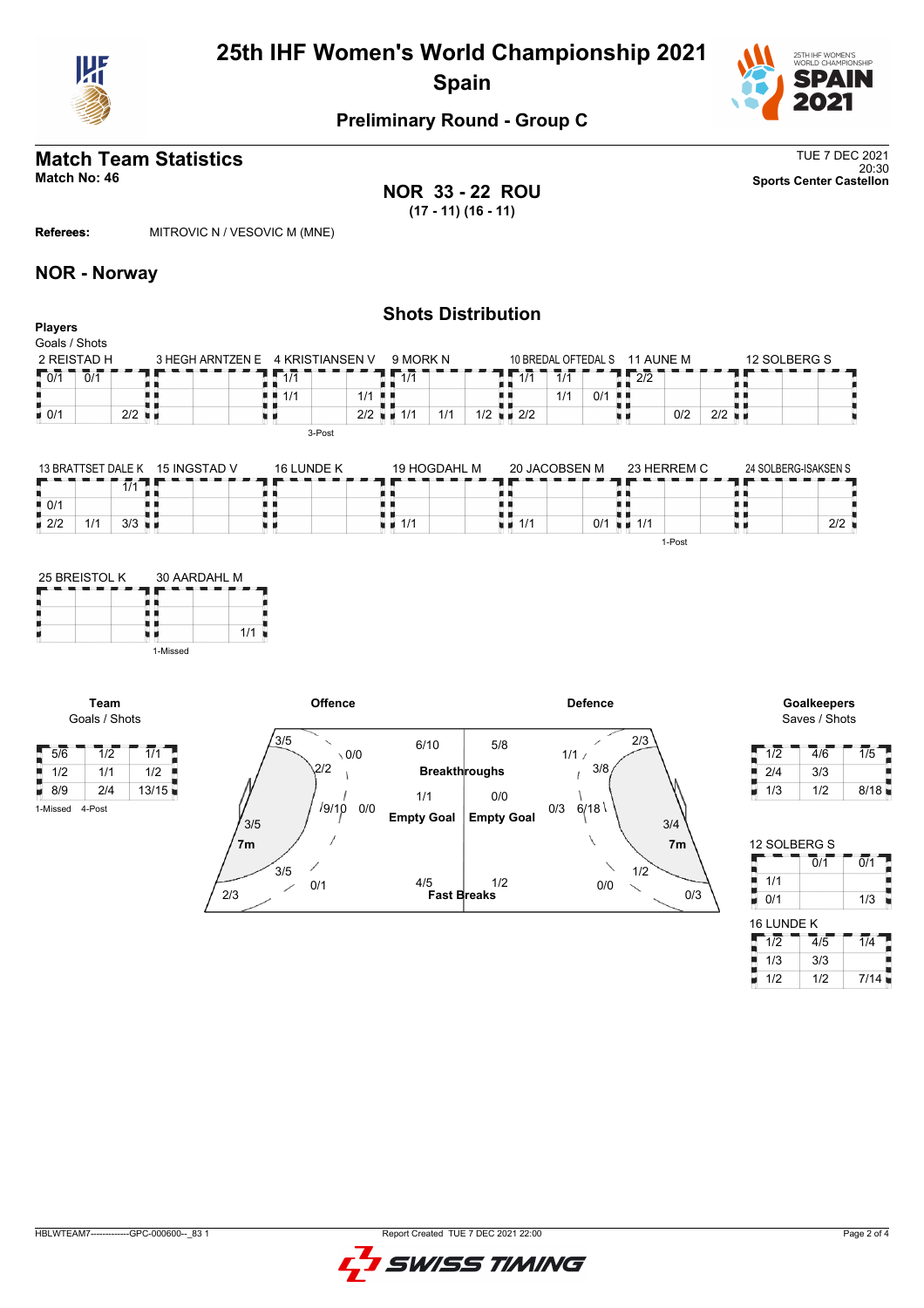

# **25th IHF Women's World Championship 2021 Spain**



## **Preliminary Round - Group C**

## **Match Team Statistics** TUE 7 DEC 2021

20:30 **Match No: 46 Sports Center Castellon**

**NOR 33 - 22 ROU (17 - 11) (16 - 11)**

**Referees:** MITROVIC N / VESOVIC M (MNE)

#### **NOR - Norway**

#### **Shots Distribution Players** Goals / Shots 12 SOLBERG S 2 REISTAD H 3 HEGH ARNTZEN E 4 KRISTIANSEN V 9 MORK N 10 BREDAL OFTEDAL S 11 AUNE M  $0/1$  0/1  $1/1$  $1/1$  $1/1$  1/1  $12/2$ 89 щ n n  $1/1$  0/1  $\frac{1}{1}$ H)  $1/1$  1/1  $1/2$   $1/2$   $2/2$  $0/2$  2/2  $\bullet$  0/1 2/2  $\bullet$ u p  $\vert$  2/2  $1/1$  1/1 1/2 u a 3-Post

|                                          |     | 13 BRATTSET DALE K 15 INGSTAD V | 16 I UNDE K | 19 HOGDAHL M | 20 JACOBSEN M             | 23 HERREM C   | 24 SOLBERG-ISAKSEN S |     |
|------------------------------------------|-----|---------------------------------|-------------|--------------|---------------------------|---------------|----------------------|-----|
|                                          | 174 |                                 |             |              |                           |               |                      |     |
| $\blacksquare$ 0/1<br>$\blacksquare$ 2/2 | 3/3 |                                 |             | i ∎ 1/1      | 0/1<br>$\blacksquare$ 1/1 | 1/1<br>- M. M |                      | 2/2 |
|                                          |     |                                 |             |              |                           | 1-Post        |                      |     |



**Team**

1-Missed 4-Post



Saves / Shots

| 1/2 | 4/6 | 1/5  |
|-----|-----|------|
| 2/4 | 3/3 |      |
| 1/3 | 1/2 | 8/18 |

| 12 SOLBERG S    |                             |                  |
|-----------------|-----------------------------|------------------|
|                 | 0/1                         | $\overline{0}/1$ |
| 1/1             |                             |                  |
| 0/1             |                             | 1/3              |
| 16 LUNDE K      |                             |                  |
| $1\overline{2}$ | $\overline{4}/\overline{5}$ | $\overline{1/4}$ |
| 1/3             | 3/3                         |                  |
| 1/2             | 1/2                         | 7/14             |

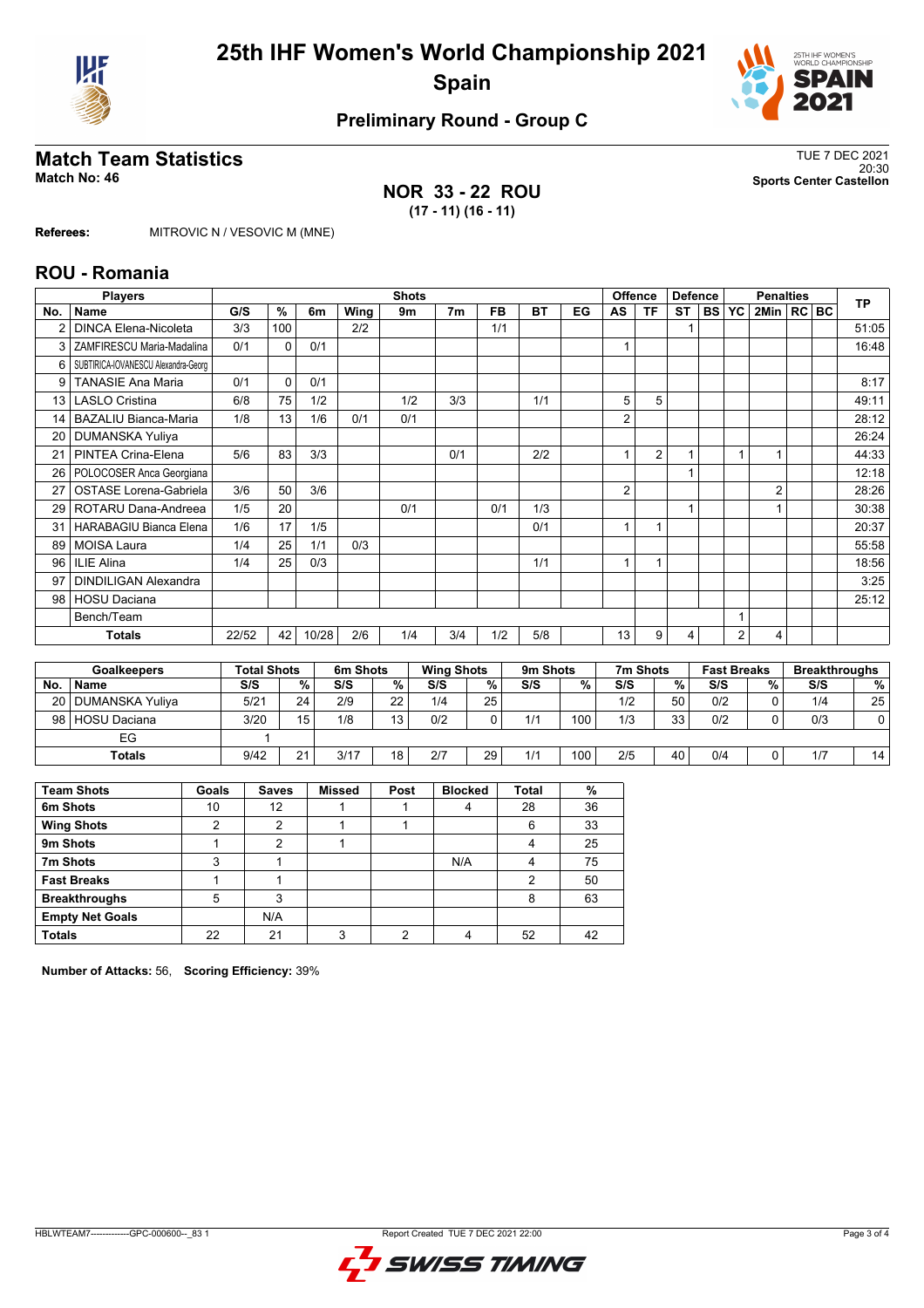



## **Preliminary Round - Group C**

# **Match Team Statistics** TUE 7 DEC 2021

### **NOR 33 - 22 ROU (17 - 11) (16 - 11)**

20:30 **Match No: 46 Sports Center Castellon**

**Referees:** MITROVIC N / VESOVIC M (MNE)

#### **ROU - Romania**

|     | <b>Players</b>                      | <b>Shots</b>       |          |       |          |                |                   |             |  | <b>Offence</b><br><b>Defence</b> |      |     | <b>Penalties</b> |                |           |                    | <b>TP</b>      |  |     |                      |
|-----|-------------------------------------|--------------------|----------|-------|----------|----------------|-------------------|-------------|--|----------------------------------|------|-----|------------------|----------------|-----------|--------------------|----------------|--|-----|----------------------|
| No. | <b>Name</b>                         | G/S                | $\%$     | 6m    | Wing     | 9 <sub>m</sub> | 7 <sub>m</sub>    | <b>FB</b>   |  | <b>BT</b>                        | EG   | AS  | <b>TF</b>        | <b>ST</b>      | <b>BS</b> | <b>YC</b>          | 2Min   RC   BC |  |     |                      |
| 2   | <b>DINCA Elena-Nicoleta</b>         | 3/3                | 100      |       | 2/2      |                |                   | 1/1         |  |                                  |      |     |                  | 1              |           |                    |                |  |     | 51:05                |
| 3   | ZAMFIRESCU Maria-Madalina           | 0/1                | $\Omega$ | 0/1   |          |                |                   |             |  |                                  |      | 1   |                  |                |           |                    |                |  |     | 16:48                |
| 6   | SUBTIRICA-IOVANESCU Alexandra-Georg |                    |          |       |          |                |                   |             |  |                                  |      |     |                  |                |           |                    |                |  |     |                      |
| 9   | <b>TANASIE Ana Maria</b>            | 0/1                | $\Omega$ | 0/1   |          |                |                   |             |  |                                  |      |     |                  |                |           |                    |                |  |     | 8:17                 |
| 13  | <b>LASLO Cristina</b>               | 6/8                | 75       | 1/2   |          | 1/2            | 3/3               |             |  | 1/1                              |      | 5   | 5                |                |           |                    |                |  |     | 49:11                |
| 14  | <b>BAZALIU Bianca-Maria</b>         | 1/8                | 13       | 1/6   | 0/1      | 0/1            |                   |             |  |                                  |      | 2   |                  |                |           |                    |                |  |     | 28:12                |
| 20  | DUMANSKA Yuliya                     |                    |          |       |          |                |                   |             |  |                                  |      |     |                  |                |           |                    |                |  |     | 26:24                |
| 21  | PINTEA Crina-Elena                  | 5/6                | 83       | 3/3   |          |                | 0/1               |             |  | 2/2                              |      | 1   | $\overline{2}$   | 1              |           | 1                  |                |  |     | 44:33                |
| 26  | POLOCOSER Anca Georgiana            |                    |          |       |          |                |                   |             |  |                                  |      |     |                  |                |           |                    |                |  |     | 12:18                |
| 27  | <b>OSTASE Lorena-Gabriela</b>       | 3/6                | 50       | 3/6   |          |                |                   |             |  |                                  |      | 2   |                  |                |           |                    | $\overline{2}$ |  |     | 28:26                |
| 29  | ROTARU Dana-Andreea                 | 1/5                | 20       |       |          | 0/1            |                   | 0/1         |  | 1/3                              |      |     |                  | 1              |           |                    |                |  |     | 30:38                |
| 31  | <b>HARABAGIU Bianca Elena</b>       | 1/6                | 17       | 1/5   |          |                |                   |             |  | 0/1                              |      |     |                  |                |           |                    |                |  |     | 20:37                |
| 89  | <b>MOISA Laura</b>                  | 1/4                | 25       | 1/1   | 0/3      |                |                   |             |  |                                  |      |     |                  |                |           |                    |                |  |     | 55:58                |
| 96  | <b>ILIE Alina</b>                   | 1/4                | 25       | 0/3   |          |                |                   |             |  | 1/1                              |      |     |                  |                |           |                    |                |  |     | 18:56                |
| 97  | <b>DINDILIGAN Alexandra</b>         |                    |          |       |          |                |                   |             |  |                                  |      |     |                  |                |           |                    |                |  |     | 3:25                 |
| 98  | <b>HOSU Daciana</b>                 |                    |          |       |          |                |                   |             |  |                                  |      |     |                  |                |           |                    |                |  |     | 25:12                |
|     | Bench/Team                          |                    |          |       |          |                |                   |             |  |                                  |      |     |                  |                |           | 1                  |                |  |     |                      |
|     | <b>Totals</b>                       | 22/52              | 42       | 10/28 | 2/6      | 1/4            | 3/4               | 1/2         |  | 5/8                              |      | 13  | 9                | $\overline{4}$ |           | 2                  | $\overline{4}$ |  |     |                      |
|     |                                     |                    |          |       |          |                |                   |             |  |                                  |      |     |                  |                |           |                    |                |  |     |                      |
|     | <b>Goalkeepers</b>                  | <b>Total Shots</b> |          |       | 6m Shots |                | <b>Wing Shots</b> |             |  | 9m Shots                         |      |     | 7m Shots         |                |           | <b>Fast Breaks</b> |                |  |     | <b>Breakthroughs</b> |
| No. | <b>Name</b>                         | S/S                |          | $\%$  | S/S      | $\frac{0}{0}$  | S/S               | $\%$        |  | S/S                              | $\%$ | S/S |                  | %              | S/S       |                    | %              |  | S/S | %                    |
| 20  | <b>DUMANSKA Yuliya</b>              | 5/21               |          | 24    | 2/9      | 22             | 1/4               | 25          |  |                                  |      | 1/2 |                  | 50             | 0/2       |                    | $\Omega$       |  | 1/4 | 25                   |
| 98  | <b>HOSU Daciana</b>                 | 3/20               |          | 15    | 1/8      | 13             | 0/2               | $\mathbf 0$ |  | 1/1                              | 100  | 1/3 |                  | 33             | 0/2       |                    | $\Omega$       |  | 0/3 | 0                    |
|     | FG                                  | 1                  |          |       |          |                |                   |             |  |                                  |      |     |                  |                |           |                    |                |  |     |                      |

**Totals** 9/42 21 3/17 18 2/7 29 1/1 100 2/5 40 0/4 0 1/7 14

| <b>Team Shots</b>      | Goals | <b>Saves</b> | <b>Missed</b> | Post | <b>Blocked</b> | Total | %  |
|------------------------|-------|--------------|---------------|------|----------------|-------|----|
| 6m Shots               | 10    | 12           |               |      |                | 28    | 36 |
| <b>Wing Shots</b>      | 2     | 2            |               |      |                | 6     | 33 |
| 9m Shots               |       | 2            |               |      |                |       | 25 |
| 7m Shots               | 3     |              |               |      | N/A            |       | 75 |
| <b>Fast Breaks</b>     |       |              |               |      |                |       | 50 |
| <b>Breakthroughs</b>   | 5     | 3            |               |      |                | 8     | 63 |
| <b>Empty Net Goals</b> |       | N/A          |               |      |                |       |    |
| <b>Totals</b>          | 22    | 21           | 3             | ◠    |                | 52    | 42 |

**Number of Attacks:** 56, **Scoring Efficiency:** 39%